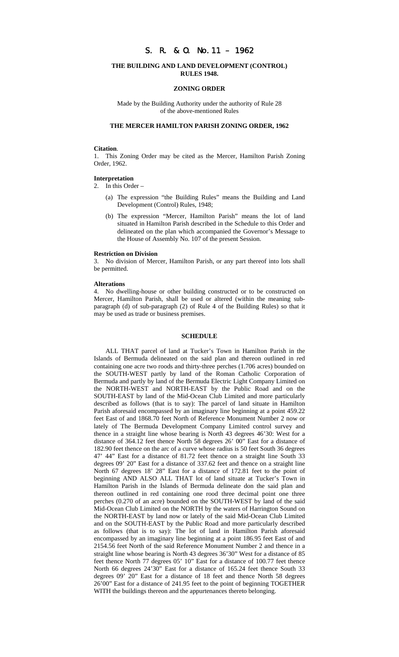# S. R. & O. No.11 – 1962

## **THE BUILDING AND LAND DEVELOPMENT (CONTROL) RULES 1948.**

### **ZONING ORDER**

Made by the Building Authority under the authority of Rule 28 of the above-mentioned Rules

## **THE MERCER HAMILTON PARISH ZONING ORDER, 1962**

### **Citation**.

1. This Zoning Order may be cited as the Mercer, Hamilton Parish Zoning Order, 1962.

#### **Interpretation**

2. In this Order –

- (a) The expression "the Building Rules" means the Building and Land Development (Control) Rules, 1948;
- (b) The expression "Mercer, Hamilton Parish" means the lot of land situated in Hamilton Parish described in the Schedule to this Order and delineated on the plan which accompanied the Governor's Message to the House of Assembly No. 107 of the present Session.

#### **Restriction on Division**

3. No division of Mercer, Hamilton Parish, or any part thereof into lots shall be permitted.

#### **Alterations**

4. No dwelling-house or other building constructed or to be constructed on Mercer, Hamilton Parish, shall be used or altered (within the meaning subparagraph (d) of sub-paragraph (2) of Rule 4 of the Building Rules) so that it may be used as trade or business premises.

## **SCHEDULE**

ALL THAT parcel of land at Tucker's Town in Hamilton Parish in the Islands of Bermuda delineated on the said plan and thereon outlined in red containing one acre two roods and thirty-three perches (1.706 acres) bounded on the SOUTH-WEST partly by land of the Roman Catholic Corporation of Bermuda and partly by land of the Bermuda Electric Light Company Limited on the NORTH-WEST and NORTH-EAST by the Public Road and on the SOUTH-EAST by land of the Mid-Ocean Club Limited and more particularly described as follows (that is to say): The parcel of land situate in Hamilton Parish aforesaid encompassed by an imaginary line beginning at a point 459.22 feet East of and 1868.70 feet North of Reference Monument Number 2 now or lately of The Bermuda Development Company Limited control survey and thence in a straight line whose bearing is North 43 degrees 46'30: West for a distance of 364.12 feet thence North 58 degrees 26' 00" East for a distance of 182.90 feet thence on the arc of a curve whose radius is 50 feet South 36 degrees 47' 44" East for a distance of 81.72 feet thence on a straight line South 33 degrees 09' 20" East for a distance of 337.62 feet and thence on a straight line North 67 degrees 18' 28" East for a distance of 172.81 feet to the point of beginning AND ALSO ALL THAT lot of land situate at Tucker's Town in Hamilton Parish in the Islands of Bermuda delineate don the said plan and thereon outlined in red containing one rood three decimal point one three perches (0.270 of an acre) bounded on the SOUTH-WEST by land of the said Mid-Ocean Club Limited on the NORTH by the waters of Harrington Sound on the NORTH-EAST by land now or lately of the said Mid-Ocean Club Limited and on the SOUTH-EAST by the Public Road and more particularly described as follows (that is to say): The lot of land in Hamilton Parish aforesaid encompassed by an imaginary line beginning at a point 186.95 feet East of and 2154.56 feet North of the said Reference Monument Number 2 and thence in a straight line whose bearing is North 43 degrees 36'30" West for a distance of 85 feet thence North 77 degrees 05' 10" East for a distance of 100.77 feet thence North 66 degrees 24'30" East for a distance of 165.24 feet thence South 33 degrees 09' 20" East for a distance of 18 feet and thence North 58 degrees 26'00" East for a distance of 241.95 feet to the point of beginning TOGETHER WITH the buildings thereon and the appurtenances thereto belonging.